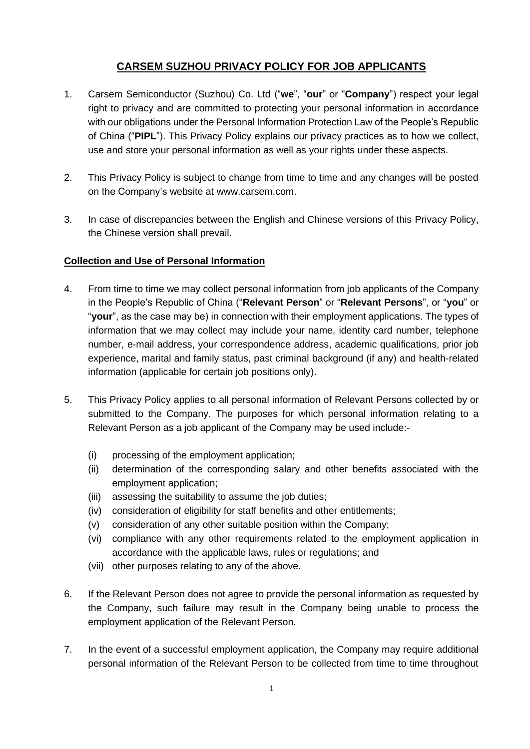# **CARSEM SUZHOU PRIVACY POLICY FOR JOB APPLICANTS**

- 1. Carsem Semiconductor (Suzhou) Co. Ltd ("**we**", "**our**" or "**Company**") respect your legal right to privacy and are committed to protecting your personal information in accordance with our obligations under the Personal Information Protection Law of the People's Republic of China ("**PIPL**"). This Privacy Policy explains our privacy practices as to how we collect, use and store your personal information as well as your rights under these aspects.
- 2. This Privacy Policy is subject to change from time to time and any changes will be posted on the Company's website at www.carsem.com.
- 3. In case of discrepancies between the English and Chinese versions of this Privacy Policy, the Chinese version shall prevail.

## **Collection and Use of Personal Information**

- 4. From time to time we may collect personal information from job applicants of the Company in the People's Republic of China ("**Relevant Person**" or "**Relevant Persons**", or "**you**" or "**your**", as the case may be) in connection with their employment applications. The types of information that we may collect may include your name, identity card number, telephone number, e-mail address, your correspondence address, academic qualifications, prior job experience, marital and family status, past criminal background (if any) and health-related information (applicable for certain job positions only).
- 5. This Privacy Policy applies to all personal information of Relevant Persons collected by or submitted to the Company. The purposes for which personal information relating to a Relevant Person as a job applicant of the Company may be used include:-
	- (i) processing of the employment application;
	- (ii) determination of the corresponding salary and other benefits associated with the employment application;
	- (iii) assessing the suitability to assume the job duties;
	- (iv) consideration of eligibility for staff benefits and other entitlements;
	- (v) consideration of any other suitable position within the Company;
	- (vi) compliance with any other requirements related to the employment application in accordance with the applicable laws, rules or regulations; and
	- (vii) other purposes relating to any of the above.
- 6. If the Relevant Person does not agree to provide the personal information as requested by the Company, such failure may result in the Company being unable to process the employment application of the Relevant Person.
- 7. In the event of a successful employment application, the Company may require additional personal information of the Relevant Person to be collected from time to time throughout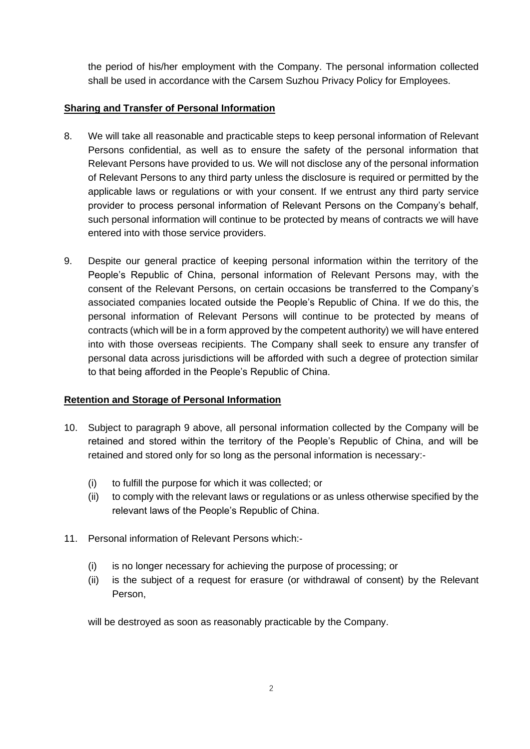the period of his/her employment with the Company. The personal information collected shall be used in accordance with the Carsem Suzhou Privacy Policy for Employees.

# **Sharing and Transfer of Personal Information**

- 8. We will take all reasonable and practicable steps to keep personal information of Relevant Persons confidential, as well as to ensure the safety of the personal information that Relevant Persons have provided to us. We will not disclose any of the personal information of Relevant Persons to any third party unless the disclosure is required or permitted by the applicable laws or regulations or with your consent. If we entrust any third party service provider to process personal information of Relevant Persons on the Company's behalf, such personal information will continue to be protected by means of contracts we will have entered into with those service providers.
- 9. Despite our general practice of keeping personal information within the territory of the People's Republic of China, personal information of Relevant Persons may, with the consent of the Relevant Persons, on certain occasions be transferred to the Company's associated companies located outside the People's Republic of China. If we do this, the personal information of Relevant Persons will continue to be protected by means of contracts (which will be in a form approved by the competent authority) we will have entered into with those overseas recipients. The Company shall seek to ensure any transfer of personal data across jurisdictions will be afforded with such a degree of protection similar to that being afforded in the People's Republic of China.

## **Retention and Storage of Personal Information**

- 10. Subject to paragraph 9 above, all personal information collected by the Company will be retained and stored within the territory of the People's Republic of China, and will be retained and stored only for so long as the personal information is necessary:-
	- (i) to fulfill the purpose for which it was collected; or
	- (ii) to comply with the relevant laws or regulations or as unless otherwise specified by the relevant laws of the People's Republic of China.
- 11. Personal information of Relevant Persons which:-
	- (i) is no longer necessary for achieving the purpose of processing; or
	- (ii) is the subject of a request for erasure (or withdrawal of consent) by the Relevant Person,

will be destroyed as soon as reasonably practicable by the Company.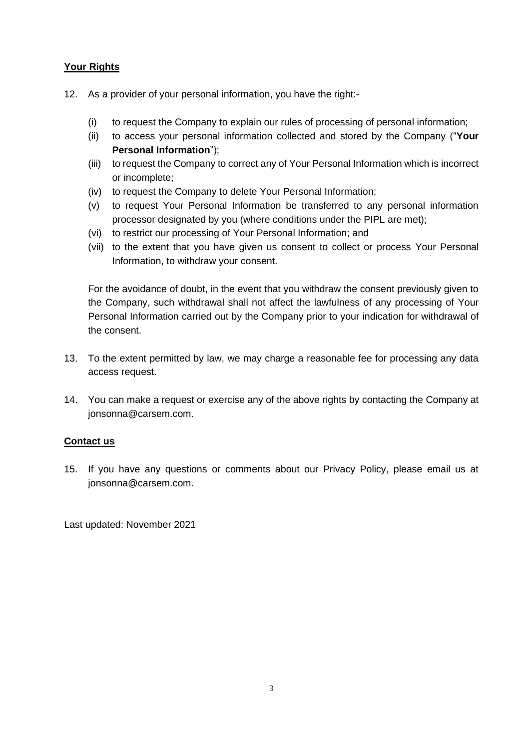# **Your Rights**

- 12. As a provider of your personal information, you have the right:-
	- (i) to request the Company to explain our rules of processing of personal information;
	- (ii) to access your personal information collected and stored by the Company ("**Your Personal Information**");
	- (iii) to request the Company to correct any of Your Personal Information which is incorrect or incomplete;
	- (iv) to request the Company to delete Your Personal Information;
	- (v) to request Your Personal Information be transferred to any personal information processor designated by you (where conditions under the PIPL are met);
	- (vi) to restrict our processing of Your Personal Information; and
	- (vii) to the extent that you have given us consent to collect or process Your Personal Information, to withdraw your consent.

For the avoidance of doubt, in the event that you withdraw the consent previously given to the Company, such withdrawal shall not affect the lawfulness of any processing of Your Personal Information carried out by the Company prior to your indication for withdrawal of the consent.

- 13. To the extent permitted by law, we may charge a reasonable fee for processing any data access request.
- 14. You can make a request or exercise any of the above rights by contacting the Company at jonsonna@carsem.com.

## **Contact us**

15. If you have any questions or comments about our Privacy Policy, please email us at jonsonna@carsem.com.

Last updated: November 2021